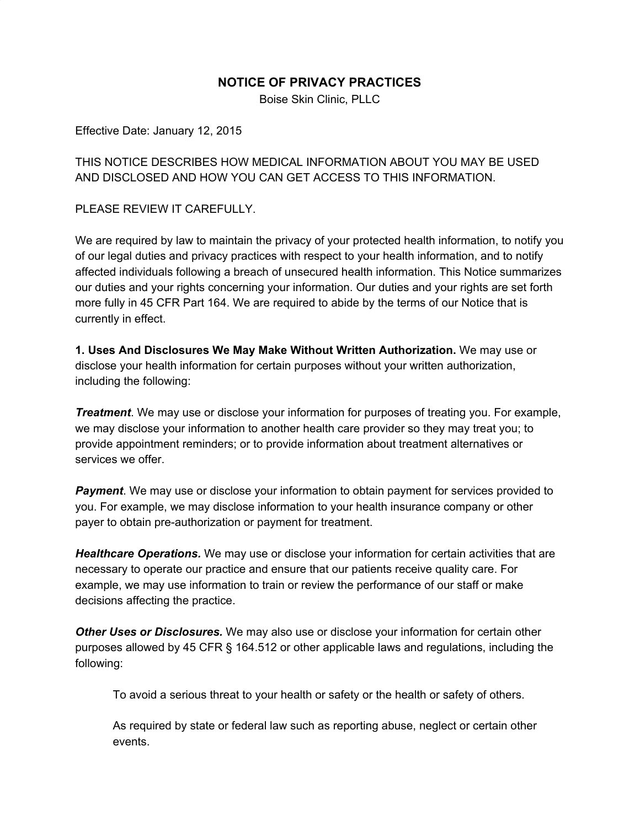## **NOTICE OF PRIVACY PRACTICES**

Boise Skin Clinic, PLLC

Effective Date: January 12, 2015

THIS NOTICE DESCRIBES HOW MEDICAL INFORMATION ABOUT YOU MAY BE USED AND DISCLOSED AND HOW YOU CAN GET ACCESS TO THIS INFORMATION.

PLEASE REVIEW IT CAREFULLY.

We are required by law to maintain the privacy of your protected health information, to notify you of our legal duties and privacy practices with respect to your health information, and to notify affected individuals following a breach of unsecured health information. This Notice summarizes our duties and your rights concerning your information. Our duties and your rights are set forth more fully in 45 CFR Part 164. We are required to abide by the terms of our Notice that is currently in effect.

**1. Uses And Disclosures We May Make Without Written Authorization.** We may use or disclose your health information for certain purposes without your written authorization, including the following:

*Treatment*. We may use or disclose your information for purposes of treating you. For example, we may disclose your information to another health care provider so they may treat you; to provide appointment reminders; or to provide information about treatment alternatives or services we offer.

*Payment*. We may use or disclose your information to obtain payment for services provided to you. For example, we may disclose information to your health insurance company or other payer to obtain pre-authorization or payment for treatment.

*Healthcare Operations.* We may use or disclose your information for certain activities that are necessary to operate our practice and ensure that our patients receive quality care. For example, we may use information to train or review the performance of our staff or make decisions affecting the practice.

*Other Uses or Disclosures.* We may also use or disclose your information for certain other purposes allowed by 45 CFR § 164.512 or other applicable laws and regulations, including the following:

To avoid a serious threat to your health or safety or the health or safety of others.

As required by state or federal law such as reporting abuse, neglect or certain other events.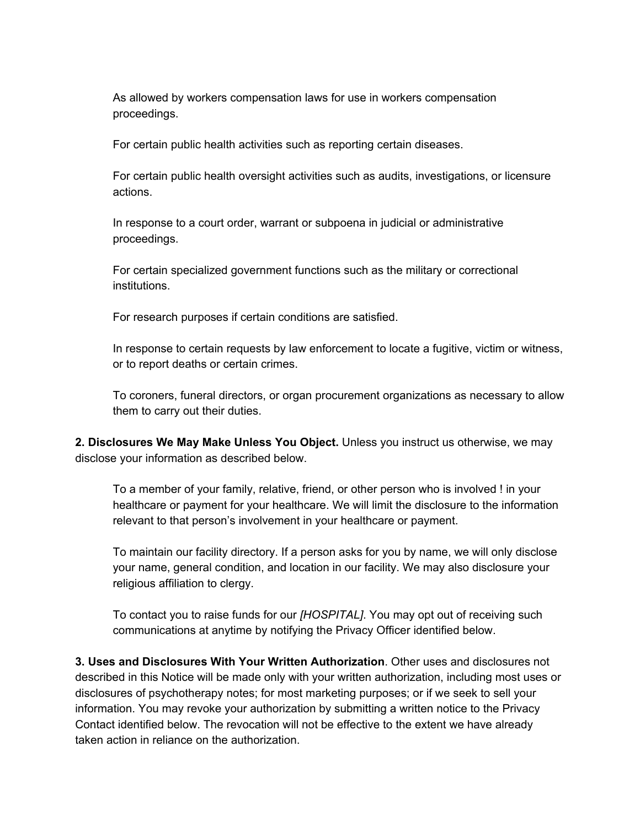As allowed by workers compensation laws for use in workers compensation proceedings.

For certain public health activities such as reporting certain diseases.

For certain public health oversight activities such as audits, investigations, or licensure actions.

In response to a court order, warrant or subpoena in judicial or administrative proceedings.

For certain specialized government functions such as the military or correctional institutions.

For research purposes if certain conditions are satisfied.

In response to certain requests by law enforcement to locate a fugitive, victim or witness, or to report deaths or certain crimes.

To coroners, funeral directors, or organ procurement organizations as necessary to allow them to carry out their duties.

**2. Disclosures We May Make Unless You Object.** Unless you instruct us otherwise, we may disclose your information as described below.

To a member of your family, relative, friend, or other person who is involved ! in your healthcare or payment for your healthcare. We will limit the disclosure to the information relevant to that person's involvement in your healthcare or payment.

To maintain our facility directory. If a person asks for you by name, we will only disclose your name, general condition, and location in our facility. We may also disclosure your religious affiliation to clergy.

To contact you to raise funds for our *[HOSPITAL]*. You may opt out of receiving such communications at anytime by notifying the Privacy Officer identified below.

**3. Uses and Disclosures With Your Written Authorization**. Other uses and disclosures not described in this Notice will be made only with your written authorization, including most uses or disclosures of psychotherapy notes; for most marketing purposes; or if we seek to sell your information. You may revoke your authorization by submitting a written notice to the Privacy Contact identified below. The revocation will not be effective to the extent we have already taken action in reliance on the authorization.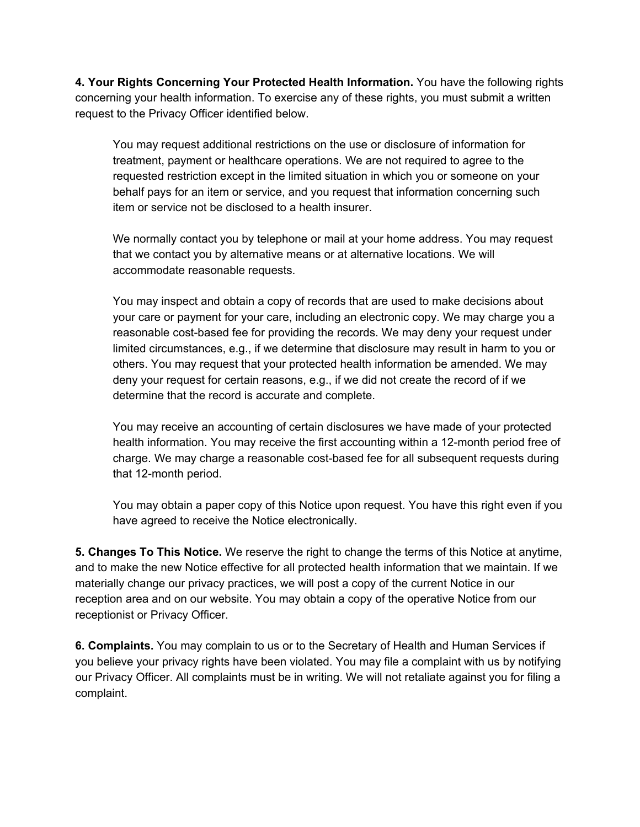**4. Your Rights Concerning Your Protected Health Information.** You have the following rights concerning your health information. To exercise any of these rights, you must submit a written request to the Privacy Officer identified below.

You may request additional restrictions on the use or disclosure of information for treatment, payment or healthcare operations. We are not required to agree to the requested restriction except in the limited situation in which you or someone on your behalf pays for an item or service, and you request that information concerning such item or service not be disclosed to a health insurer.

We normally contact you by telephone or mail at your home address. You may request that we contact you by alternative means or at alternative locations. We will accommodate reasonable requests.

You may inspect and obtain a copy of records that are used to make decisions about your care or payment for your care, including an electronic copy. We may charge you a reasonable cost-based fee for providing the records. We may deny your request under limited circumstances, e.g., if we determine that disclosure may result in harm to you or others. You may request that your protected health information be amended. We may deny your request for certain reasons, e.g., if we did not create the record of if we determine that the record is accurate and complete.

You may receive an accounting of certain disclosures we have made of your protected health information. You may receive the first accounting within a 12-month period free of charge. We may charge a reasonable cost-based fee for all subsequent requests during that 12-month period.

You may obtain a paper copy of this Notice upon request. You have this right even if you have agreed to receive the Notice electronically.

**5. Changes To This Notice.** We reserve the right to change the terms of this Notice at anytime, and to make the new Notice effective for all protected health information that we maintain. If we materially change our privacy practices, we will post a copy of the current Notice in our reception area and on our website. You may obtain a copy of the operative Notice from our receptionist or Privacy Officer.

**6. Complaints.** You may complain to us or to the Secretary of Health and Human Services if you believe your privacy rights have been violated. You may file a complaint with us by notifying our Privacy Officer. All complaints must be in writing. We will not retaliate against you for filing a complaint.